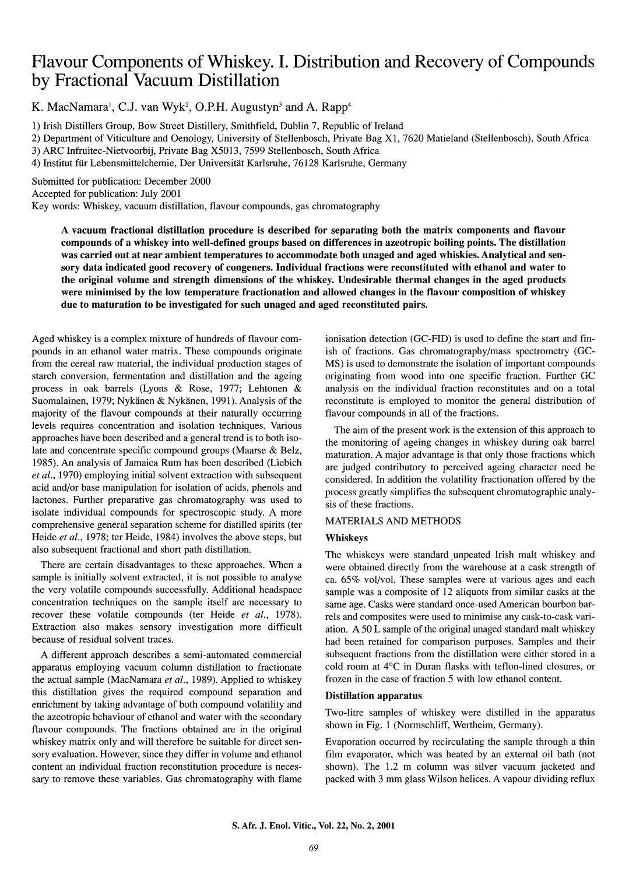# Flavour Components of Whiskey. I. Distribution and Recovery of Compounds by Fractional Vacuum Distillation

K. MacNamara<sup>1</sup>, C.J. van Wyk<sup>2</sup>, O.P.H. Augustyn<sup>3</sup> and A. Rapp<sup>4</sup>

1) Irish Distillers Group, Bow Street Distillery, Smithfield, Dublin 7, Republic of Ireland

2) Department of Viticulture and Oenology, University of Stellenbosch, Private Bag XI, 7620 Matieland (Stellenbosch), South Africa

3) ARC Infruitec-Nietvoorbij, Private Bag X5013, 7599 Stellenbosch, South Africa

4) Institut ftir Lebensmittelchemie, Der Universitat Karlsruhe, 76128 Karlsruhe, Germany

Submitted for publication: December 2000

Accepted for publication: July 2001

Key words: Whiskey, vacuum distillation, flavour compounds, gas chromatography

A vacuum fractional distillation procedure is described for separating both the matrix components and flavour compounds of a whiskey into well-defined groups based on differences in azeotropic boiling points. The distillation was carried out at near ambient temperatures to accommodate both unaged and aged whiskies. Analytical and sensory data indicated good recovery of congeners. Individual fractions were reconstituted with ethanol and water to the original volume and strength dimensions of the whiskey. Undesirable thermal changes in the aged products were minimised by the low temperature fractionation and allowed changes in the flavour composition of whiskey due to maturation to be investigated for such unaged and aged reconstituted pairs.

Aged whiskey is a complex mixture of hundreds of flavour compounds in an ethanol water matrix. These compounds originate from the cereal raw material, the individual production stages of starch conversion, fermentation and distillation and the ageing process in oak barrels (Lyons & Rose, 1977; Lehtonen & Suomalainen, 1979; Nykanen & Nykanen, 1991). Analysis of the majority of the flavour compounds at their naturally occurring levels requires concentration and isolation techniques. Various approaches have been described and a general trend is to both isolate and concentrate specific compound groups (Maarse & Belz, 1985). An analysis of Jamaica Rum has been described (Liebich *et al.,* 1970) employing initial solvent extraction with subsequent acid and/or base manipulation for isolation of acids, phenols and lactones. Further preparative gas chromatography was used to isolate individual compounds for spectroscopic study. A more comprehensive general separation scheme for distilled spirits (ter Heide *et al.,* 1978; ter Heide, 1984) involves the above steps, but also subsequent fractional and short path distillation.

There are certain disadvantages to these approaches. When a sample is initially solvent extracted, it is not possible to analyse the very volatile compounds successfully. Additional headspace concentration techniques on the sample itself are necessary to recover these volatile compounds (ter Heide *et al.,* 1978). Extraction also makes sensory investigation more difficult because of residual solvent traces.

A different approach describes a semi-automated commercial apparatus employing vacuum column distillation to fractionate the actual sample (MacNamara et al., 1989). Applied to whiskey this distillation gives the required compound separation and enrichment by taking advantage of both compound volatility and the azeotropic behaviour of ethanol and water with the secondary flavour compounds. The fractions obtained are in the original whiskey matrix only and will therefore be suitable for direct sensory evaluation. However, since they differ in volume and ethanol content an individual fraction reconstitution procedure is necessary to remove these variables. Gas chromatography with flame ionisation detection (GC-FID) is used to define the start and finish of fractions. Gas chromatography/mass spectrometry (GC-MS) is used to demonstrate the isolation of important compounds originating from wood into one specific fraction. Further GC analysis on the individual fraction reconstitutes and on a total reconstitute is employed to monitor the general distribution of flavour compounds in all of the fractions.

The aim of the present work is the extension of this approach to the monitoring of ageing changes in whiskey during oak barrel maturation. A major advantage is that only those fractions which are judged contributory to perceived ageing character need be considered. In addition the volatility fractionation offered by the process greatly simplifies the subsequent chromatographic analysis of these fractions.

# MATERIALS AND METHODS

### Whiskeys

The whiskeys were standard unpeated Irish malt whiskey and were obtained directly from the warehouse at a cask strength of ca. 65% vol/vol. These samples were at various ages and each sample was a composite of 12 aliquots from similar casks at the same age. Casks were standard once-used American bourbon barrels and composites were used to minimise any cask-to-cask variation. A 50 L sample of the original unaged standard malt whiskey had been retained for comparison purposes. Samples and their subsequent fractions from the distillation were either stored in a cold room at 4°C in Duran flasks with teflon-lined closures, or frozen in the case of fraction 5 with low ethanol content.

### Distillation apparatus

Two-litre samples of whiskey were distilled in the apparatus shown in Fig. 1 (Normschliff, Wertheim, Germany).

Evaporation occurred by recirculating the sample through a thin film evaporator, which was heated by an external oil bath (not shown). The 1.2 m column was silver vacuum jacketed and packed with 3 mm glass Wilson helices. A vapour dividing reflux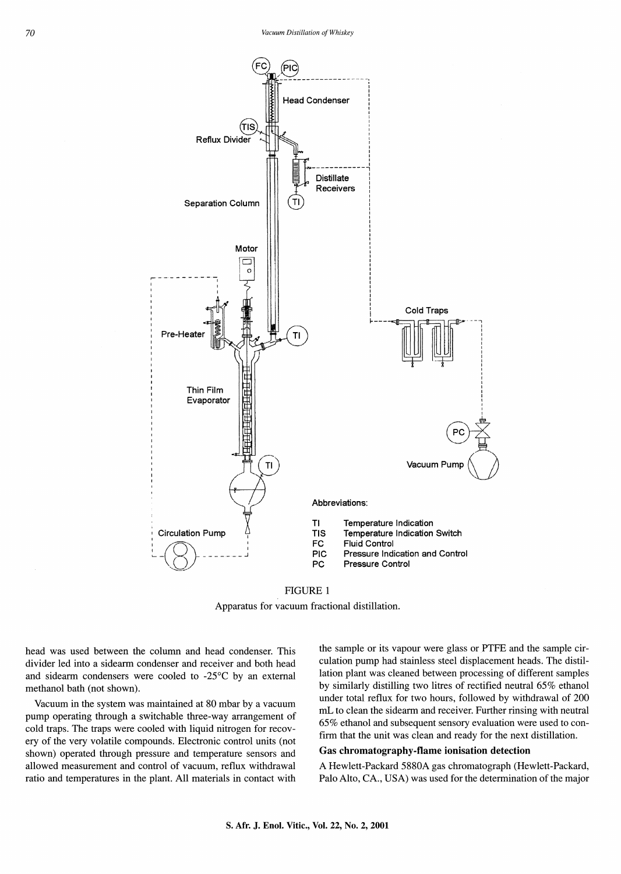

FIGURE I

Apparatus for vacuum fractional distillation,

head was used between the column and head condenser, This divider led into a sidearm condenser and receiver and both head and sidearm condensers were cooled to -25°C by an external methanol bath (not shown),

Vacuum in the system was maintained at 80 mbar by a vacuum pump operating through a switchable three-way arrangement of cold traps, The traps were cooled with liquid nitrogen for recovery of the very volatile compounds, Electronic control units (not shown) operated through pressure and temperature sensors and allowed measurement and control of vacuum, reflux withdrawal ratio and temperatures in the plant. All materials in contact with

the sample or its vapour were glass or PTFE and the sample circulation pump had stainless steel displacement heads, The distillation plant was cleaned between processing of different samples by similarly distilling two litres of rectified neutral 65% ethanol under total reflux for two hours, followed by withdrawal of 200 mL to clean the sidearm and receiver. Further rinsing with neutral 65% ethanol and subsequent sensory evaluation were used to confirm that the unit was clean and ready for the next distillation.

#### Gas chromatography-flame ionisation detection

A Hewlett-Packard 5880A gas chromatograph (Hewlett-Packard, Palo Alto, CA., USA) was used for the determination of the major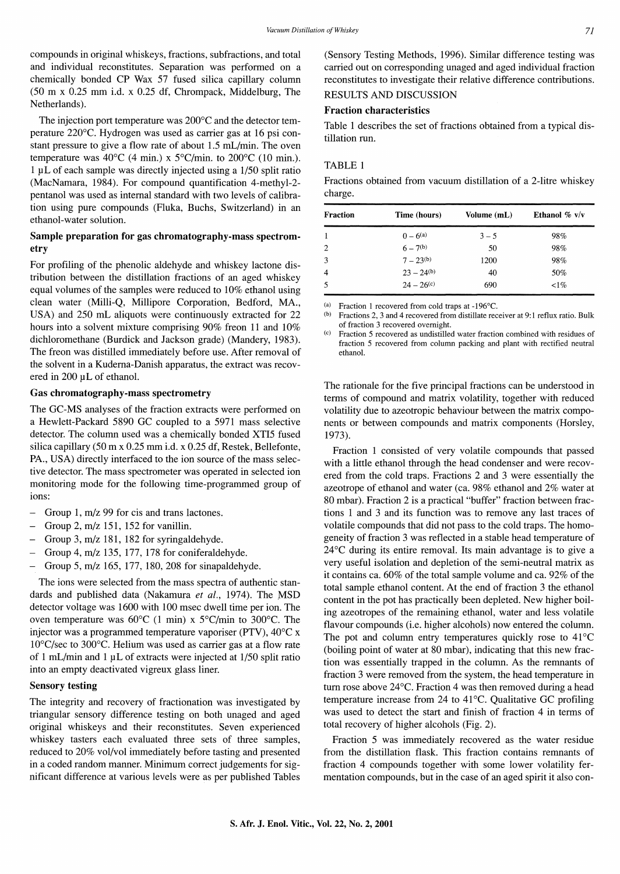compounds in original whiskeys, fractions, subfractions, and total and individual reconstitutes. Separation was performed on a chemically bonded CP Wax 57 fused silica capillary column (50 m x 0.25 mm i.d. x 0.25 df, Chrompack, Middelburg, The Netherlands).

The injection port temperature was 200°C and the detector temperature 220°C. Hydrogen was used as carrier gas at 16 psi constant pressure to give a flow rate of about 1.5 mL/min. The oven temperature was 40 $^{\circ}$ C (4 min.) x 5 $^{\circ}$ C/min. to 200 $^{\circ}$ C (10 min.).  $1 \mu$ L of each sample was directly injected using a  $1/50$  split ratio (MacNamara, 1984). For compound quantification 4-methyl-2 pentanol was used as internal standard with two levels of calibration using pure compounds (Fluka, Buchs, Switzerland) in an ethanol-water solution.

# Sample preparation for gas chromatography-mass spectrometry

For profiling of the phenolic aldehyde and whiskey lactone distribution between the distillation fractions of an aged whiskey equal volumes of the samples were reduced to 10% ethanol using clean water (Milli-Q, Millipore Corporation, Bedford, MA., USA) and 250 mL aliquots were continuously extracted for 22 hours into a solvent mixture comprising 90% freon 11 and 10% dichloromethane (Burdick and Jackson grade) (Mandery, 1983). The freon was distilled immediately before use. After removal of the solvent in a Kudema-Danish apparatus, the extract was recovered in 200 µL of ethanol.

# Gas chromatography-mass spectrometry

The GC-MS analyses of the fraction extracts were performed on a Hewlett-Packard 5890 GC coupled to a 597I mass selective detector. The column used was a chemically bonded XTI5 fused silica capillary (50 m x 0.25 mm i.d. x 0.25 df, Restek, Bellefonte, PA., USA) directly interfaced to the ion source of the mass selective detector. The mass spectrometer was operated in selected ion monitoring mode for the following time-programmed group of ions:

- Group 1, m/z 99 for cis and trans lactones.
- Group 2, m/z 151, I52 for vanillin.
- Group 3, m/z 181, 182 for syringaldehyde.
- Group 4, m/z 135, 177, I78 for coniferaldehyde.  $\frac{1}{2}$
- Group 5, m/z 165, 177, 180, 208 for sinapaldehyde.

The ions were selected from the mass spectra of authentic standards and published data (Nakamura *et al.,* I974). The MSD detector voltage was 1600 with 100 msec dwell time per ion. The oven temperature was  $60^{\circ}$ C (1 min) x  $5^{\circ}$ C/min to 300 $^{\circ}$ C. The injector was a programmed temperature vaporiser (PTV), 40°C x 10°C/sec to 300°C. Helium was used as carrier gas at a flow rate of 1 mL/min and 1  $\mu$ L of extracts were injected at 1/50 split ratio into an empty deactivated vigreux glass liner.

# Sensory testing

The integrity and recovery of fractionation was investigated by triangular sensory difference testing on both unaged and aged original whiskeys and their reconstitutes. Seven experienced whiskey tasters each evaluated three sets of three samples, reduced to 20% vol/vol immediately before tasting and presented in a coded random manner. Minimum correct judgements for significant difference at various levels were as per published Tables

(Sensory Testing Methods, I996). Similar difference testing was carried out on corresponding unaged and aged individual fraction reconstitutes to investigate their relative difference contributions. RESULTS AND DISCUSSION

# Fraction characteristics

Table 1 describes the set of fractions obtained from a typical distillation run.

# TABLE 1

Fractions obtained from vacuum distillation of a 2-litre whiskey charge.

| Fraction       | Time (hours)  | Volume (mL) | Ethanol $\%$ v/v |
|----------------|---------------|-------------|------------------|
|                | $0 - 6^{(a)}$ | $3 - 5$     | 98%              |
| 2              | $6 - 7^{(b)}$ | 50          | 98%              |
| 3              | $7-23^{(b)}$  | 1200        | 98%              |
| $\overline{4}$ | $23 - 24(b)$  | 40          | 50%              |
| -5             | $24 - 26(c)$  | 690         | $1\%$            |

(a) Fraction 1 recovered from cold traps at  $-196^{\circ}$ C.<br>(b) Fractions 2, 3 and 4 recovered from distillate rec

Fractions 2, 3 and 4 recovered from distillate receiver at 9:1 reflux ratio. Bulk of fraction 3 recovered overnight.

Fraction 5 recovered as undistilled water fraction combined with residues of fraction 5 recovered from column packing and plant with rectified neutral ethanol.

The rationale for the five principal fractions can be understood in terms of compound and matrix volatility, together with reduced volatility due to azeotropic behaviour between the matrix components or between compounds and matrix components (Horsley, 1973).

Fraction 1 consisted of very volatile compounds that passed with a little ethanol through the head condenser and were recovered from the cold traps. Fractions 2 and 3 were essentially the azeotrope of ethanol and water (ca. 98% ethanol and 2% water at 80 mbar). Fraction 2 is a practical "buffer" fraction between fractions I and 3 and its function was to remove any last traces of volatile compounds that did not pass to the cold traps. The homogeneity of fraction 3 was reflected in a stable head temperature of  $24^{\circ}$ C during its entire removal. Its main advantage is to give a very useful isolation and depletion of the semi-neutral matrix as it contains ca. 60% of the total sample volume and ca. 92% of the total sample ethanol content. At the end of fraction 3 the ethanol content in the pot has practically been depleted. New higher boiling azeotropes of the remaining ethanol, water and less volatile flavour compounds (i.e. higher alcohols) now entered the column. The pot and column entry temperatures quickly rose to  $41^{\circ}$ C (boiling point of water at 80 mbar), indicating that this new fraction was essentially trapped in the column. As the remnants of fraction 3 were removed from the system, the head temperature in turn rose above  $24^{\circ}$ C. Fraction 4 was then removed during a head temperature increase from 24 to  $41^{\circ}$ C. Qualitative GC profiling was used to detect the start and finish of fraction 4 in terms of total recovery of higher alcohols (Fig. 2).

Fraction 5 was immediately recovered as the water residue from the distillation flask. This fraction contains remnants of fraction 4 compounds together with some lower volatility fermentation compounds, but in the case of an aged spirit it also con-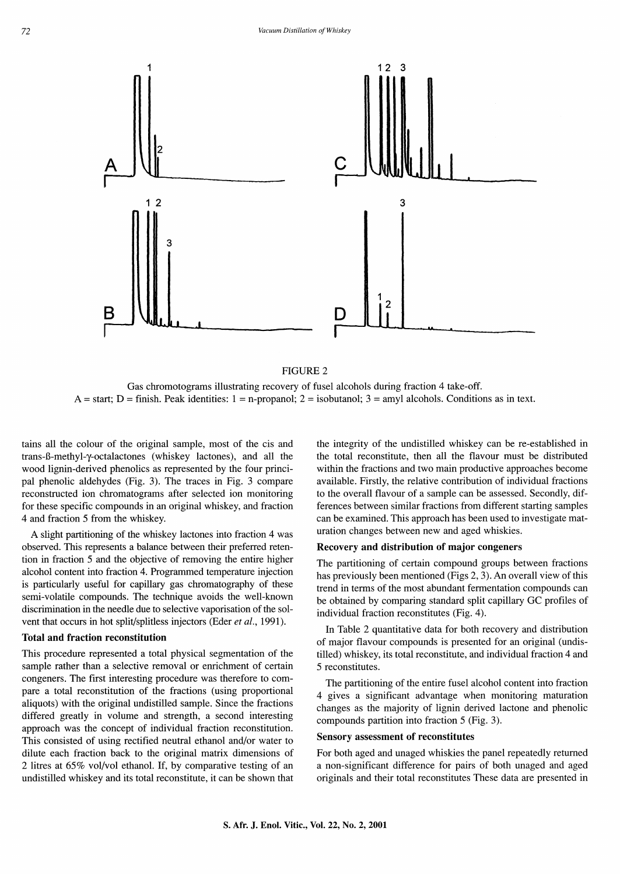

FIGURE 2

Gas chromotograms illustrating recovery of fusel alcohols during fraction 4 take-off.  $A = start$ ; D = finish. Peak identities: 1 = n-propanol; 2 = isobutanol; 3 = amyl alcohols. Conditions as in text.

tains all the colour of the original sample, most of the cis and trans-B-methyl-y-octalactones (whiskey lactones), and all the wood lignin-derived phenolics as represented by the four principal phenolic aldehydes (Fig. 3). The traces in Fig. 3 compare reconstructed ion chromatograms after selected ion monitoring for these specific compounds in an original whiskey, and fraction 4 and fraction 5 from the whiskey.

A slight partitioning of the whiskey lactones into fraction 4 was observed. This represents a balance between their preferred retention in fraction 5 and the objective of removing the entire higher alcohol content into fraction 4. Programmed temperature injection is particularly useful for capillary gas chromatography of these semi-volatile compounds. The technique avoids the well-known discrimination in the needle due to selective vaporisation of the solvent that occurs in hot split/splitless injectors (Eder *et al.,* 1991).

#### Total and fraction reconstitution

This procedure represented a total physical segmentation of the sample rather than a selective removal or enrichment of certain congeners. The first interesting procedure was therefore to compare a total reconstitution of the fractions (using proportional aliquots) with the original undistilled sample. Since the fractions differed greatly in volume and strength, a second interesting approach was the concept of individual fraction reconstitution. This consisted of using rectified neutral ethanol and/or water to dilute each fraction back to the original matrix dimensions of 2 litres at 65% vol/vol ethanol. If, by comparative testing of an undistilled whiskey and its total reconstitute, it can be shown that

the integrity of the undistilled whiskey can be re-established in the total reconstitute, then all the flavour must be distributed within the fractions and two main productive approaches become available. Firstly, the relative contribution of individual fractions to the overall flavour of a sample can be assessed. Secondly, differences between similar fractions from different starting samples can be examined. This approach has been used to investigate maturation changes between new and aged whiskies.

#### Recovery and distribution of major congeners

The partitioning of certain compound groups between fractions has previously been mentioned (Figs 2, 3). An overall view of this trend in terms of the most abundant fermentation compounds can be obtained by comparing standard split capillary GC profiles of individual fraction reconstitutes (Fig. 4).

In Table 2 quantitative data for both recovery and distribution of major flavour compounds is presented for an original (undistilled) whiskey, its total reconstitute, and individual fraction 4 and 5 reconstitutes.

The partitioning of the entire fusel alcohol content into fraction 4 gives a significant advantage when monitoring maturation changes as the majority of lignin derived lactone and phenolic compounds partition into fraction 5 (Fig. 3).

#### Sensory assessment of reconstitutes

For both aged and unaged whiskies the panel repeatedly returned a non-significant difference for pairs of both unaged and aged originals and their total reconstitutes These data are presented in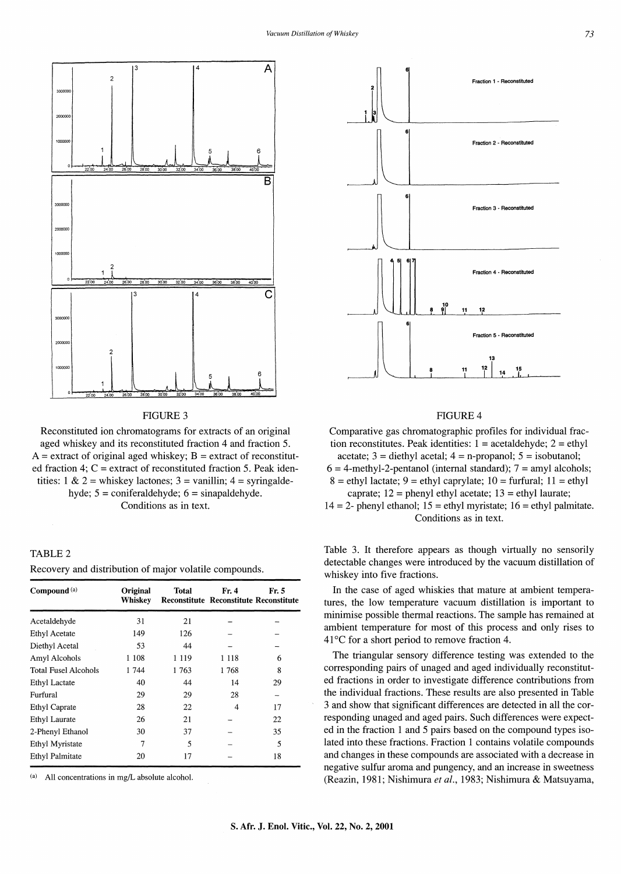



Reconstituted ion chromatograms for extracts of an original aged whiskey and its reconstituted fraction 4 and fraction 5.  $A =$  extract of original aged whiskey;  $B =$  extract of reconstituted fraction 4;  $C =$  extract of reconstituted fraction 5. Peak identities: 1 & 2 = whiskey lactones; 3 = vanillin; 4 = syringaldehyde;  $5 =$  coniferaldehyde;  $6 =$  sinapaldehyde. Conditions as in text.

# TABLE<sub>2</sub>

Recovery and distribution of major volatile compounds.

| Compound <sup>(a)</sup>     | Original<br>Whiskey | Total   | Fr. 4   | Fr. 5<br><b>Reconstitute Reconstitute Reconstitute</b> |
|-----------------------------|---------------------|---------|---------|--------------------------------------------------------|
| Acetaldehyde                | 31                  | 21      |         |                                                        |
| <b>Ethyl Acetate</b>        | 149                 | 126     |         |                                                        |
| Diethyl Acetal              | 53                  | 44      |         |                                                        |
| Amyl Alcohols               | 1 108               | 1 1 1 9 | 1 1 1 8 | 6                                                      |
| <b>Total Fusel Alcohols</b> | 1 744               | 1 763   | 1768    | 8                                                      |
| <b>Ethyl Lactate</b>        | 40                  | 44      | 14      | 29                                                     |
| Furfural                    | 29                  | 29      | 28      |                                                        |
| <b>Ethyl Caprate</b>        | 28                  | 22      | 4       | 17                                                     |
| Ethyl Laurate               | 26                  | 21      |         | 22                                                     |
| 2-Phenyl Ethanol            | 30                  | 37      |         | 35                                                     |
| Ethyl Myristate             | 7                   | 5       |         | 5                                                      |
| <b>Ethyl Palmitate</b>      | 20                  | 17      |         | 18                                                     |

(a) All concentrations in mg/L absolute alcohol.



# FIGURE 4

Comparative gas chromatographic profiles for individual fraction reconstitutes. Peak identities:  $1 = \text{acetaldehyde}$ ;  $2 = \text{ethyl}$ acetate;  $3 =$  diethyl acetal;  $4 =$  n-propanol;  $5 =$  isobutanol;

 $6 = 4$ -methyl-2-pentanol (internal standard);  $7 =$ amyl alcohols;

 $8 =$  ethyl lactate;  $9 =$  ethyl caprylate;  $10 =$  furfural;  $11 =$  ethyl caprate;  $12$  = phenyl ethyl acetate;  $13$  = ethyl laurate;

14 = 2- phenyl ethanol; 15 = ethyl myristate; 16 = ethyl palmitate. Conditions as in text.

Table 3. It therefore appears as though virtually no sensorily detectable changes were introduced by the vacuum distillation of whiskey into five fractions.

In the case of aged whiskies that mature at ambient temperatures, the low temperature vacuum distillation is important to minimise possible thermal reactions. The sample has remained at ambient temperature for most of this process and only rises to  $41^{\circ}$ C for a short period to remove fraction 4.

The triangular sensory difference testing was extended to the corresponding pairs of unaged and aged individually reconstituted fractions in order to investigate difference contributions from the individual fractions. These results are also presented in Table 3 and show that significant differences are detected in all the corresponding unaged and aged pairs. Such differences were expected in the fraction 1 and 5 pairs based on the compound types isolated into these fractions. Fraction 1 contains volatile compounds and changes in these compounds are associated with a decrease in negative sulfur aroma and pungency, and an increase in sweetness (Reazin, 1981; Nishimura *et al.,* 1983; Nishimura & Matsuyama,